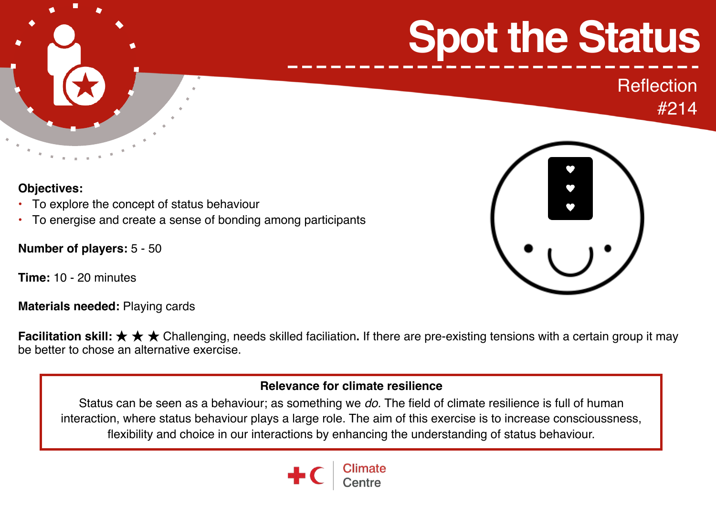# **Spot the Status**

**Reflection** #214



**Objectives:** 

- To explore the concept of status behaviour
- To energise and create a sense of bonding among participants

**Number of players:** 5 - 50

**Time:** 10 - 20 minutes

**Materials needed:** Playing cards

**Facilitation skill:** ★ ★ ★ Challenging, needs skilled faciliation**.** If there are pre-existing tensions with a certain group it may be better to chose an alternative exercise.

#### **Relevance for climate resilience**

Status can be seen as a behaviour; as something we *do.* The field of climate resilience is full of human interaction, where status behaviour plays a large role. The aim of this exercise is to increase conscioussness, flexibility and choice in our interactions by enhancing the understanding of status behaviour.